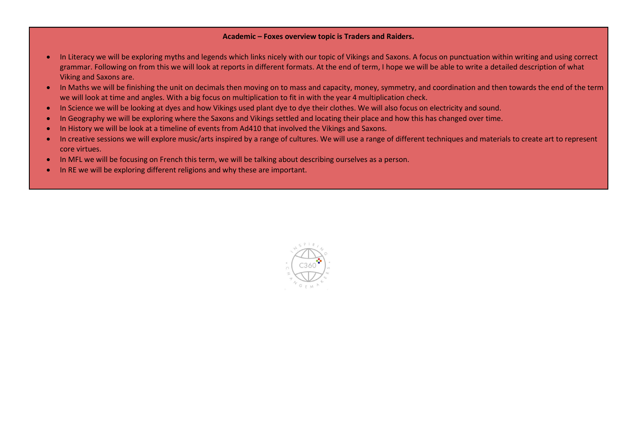## Academic – Foxes overview topic is Traders and Raiders.

- In Literacy we will be exploring myths and legends which links nicely with our topic of Vikings and Saxons. A focus on punctuation within writing and using correct grammar. Following on from this we will look at reports in different formats. At the end of term, I hope we will be able to write a detailed description of what Viking and Saxons are.
- In Maths we will be finishing the unit on decimals then moving on to mass and capacity, money, symmetry, and coordination and then towards the end of the term we will look at time and angles. With a big focus on multiplication to fit in with the year 4 multiplication check.
- In Science we will be looking at dyes and how Vikings used plant dye to dye their clothes. We will also focus on electricity and sound.
- In Geography we will be exploring where the Saxons and Vikings settled and locating their place and how this has changed over time.
- In History we will be look at a timeline of events from Ad410 that involved the Vikings and Saxons.
- In creative sessions we will explore music/arts inspired by a range of cultures. We will use a range of different techniques and materials to create art to represent core virtues.
- In MFL we will be focusing on French this term, we will be talking about describing ourselves as a person.
- In RE we will be exploring different religions and why these are important.